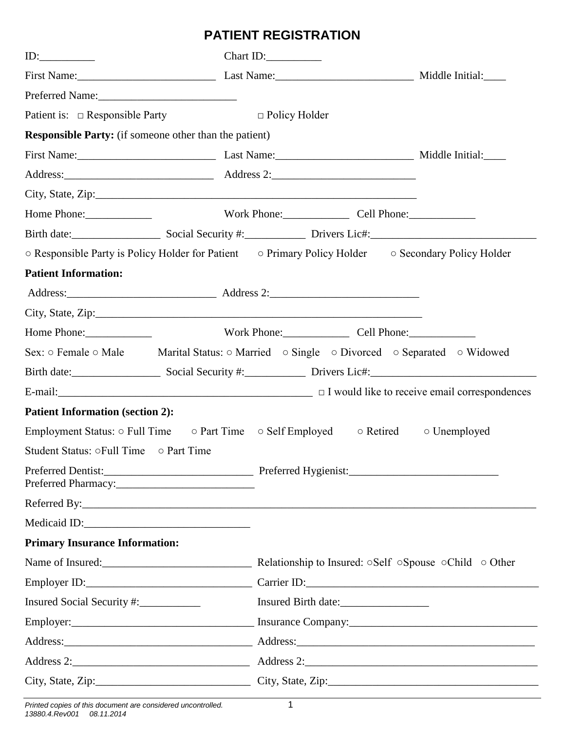## **PATIENT REGISTRATION**

| ID: $\qquad \qquad$                                           | Chart ID: $\frac{1}{\sqrt{2\pi}}$                                                                                                  |                                      |  |
|---------------------------------------------------------------|------------------------------------------------------------------------------------------------------------------------------------|--------------------------------------|--|
|                                                               | First Name: Middle Initial: Last Name: Middle Initial:                                                                             |                                      |  |
| Preferred Name:                                               |                                                                                                                                    |                                      |  |
| Patient is: $\Box$ Responsible Party                          | $\Box$ Policy Holder                                                                                                               |                                      |  |
| <b>Responsible Party:</b> (if someone other than the patient) |                                                                                                                                    |                                      |  |
| First Name: Middle Initial: Last Name: Middle Initial:        |                                                                                                                                    |                                      |  |
|                                                               |                                                                                                                                    |                                      |  |
|                                                               |                                                                                                                                    |                                      |  |
| Home Phone:                                                   | Work Phone: Cell Phone:                                                                                                            |                                      |  |
|                                                               | Birth date: Social Security #: Drivers Lic#: 2001 2012 2022 2023                                                                   |                                      |  |
|                                                               | ○ Responsible Party is Policy Holder for Patient ○ Primary Policy Holder ○ Secondary Policy Holder                                 |                                      |  |
| <b>Patient Information:</b>                                   |                                                                                                                                    |                                      |  |
|                                                               |                                                                                                                                    |                                      |  |
|                                                               |                                                                                                                                    |                                      |  |
| Home Phone:                                                   | Work Phone: Cell Phone:                                                                                                            |                                      |  |
|                                                               | Sex: $\circ$ Female $\circ$ Male Marital Status: $\circ$ Married $\circ$ Single $\circ$ Divorced $\circ$ Separated $\circ$ Widowed |                                      |  |
|                                                               | Birth date: Social Security #: Drivers Lic#: 2001                                                                                  |                                      |  |
|                                                               |                                                                                                                                    |                                      |  |
| <b>Patient Information (section 2):</b>                       |                                                                                                                                    |                                      |  |
|                                                               | Employment Status: $\circ$ Full Time $\circ$ Part Time $\circ$ Self Employed $\circ$ Retired $\circ$ Unemployed                    |                                      |  |
| Student Status: oFull Time o Part Time                        |                                                                                                                                    |                                      |  |
| Preferred Pharmacy:                                           |                                                                                                                                    |                                      |  |
|                                                               |                                                                                                                                    |                                      |  |
|                                                               |                                                                                                                                    |                                      |  |
| <b>Primary Insurance Information:</b>                         |                                                                                                                                    |                                      |  |
|                                                               |                                                                                                                                    |                                      |  |
|                                                               |                                                                                                                                    | Employer ID: Carrier ID: Carrier ID: |  |
| Insured Social Security #:                                    | Insured Birth date:                                                                                                                |                                      |  |
|                                                               |                                                                                                                                    |                                      |  |
|                                                               |                                                                                                                                    |                                      |  |
|                                                               |                                                                                                                                    |                                      |  |
|                                                               |                                                                                                                                    |                                      |  |